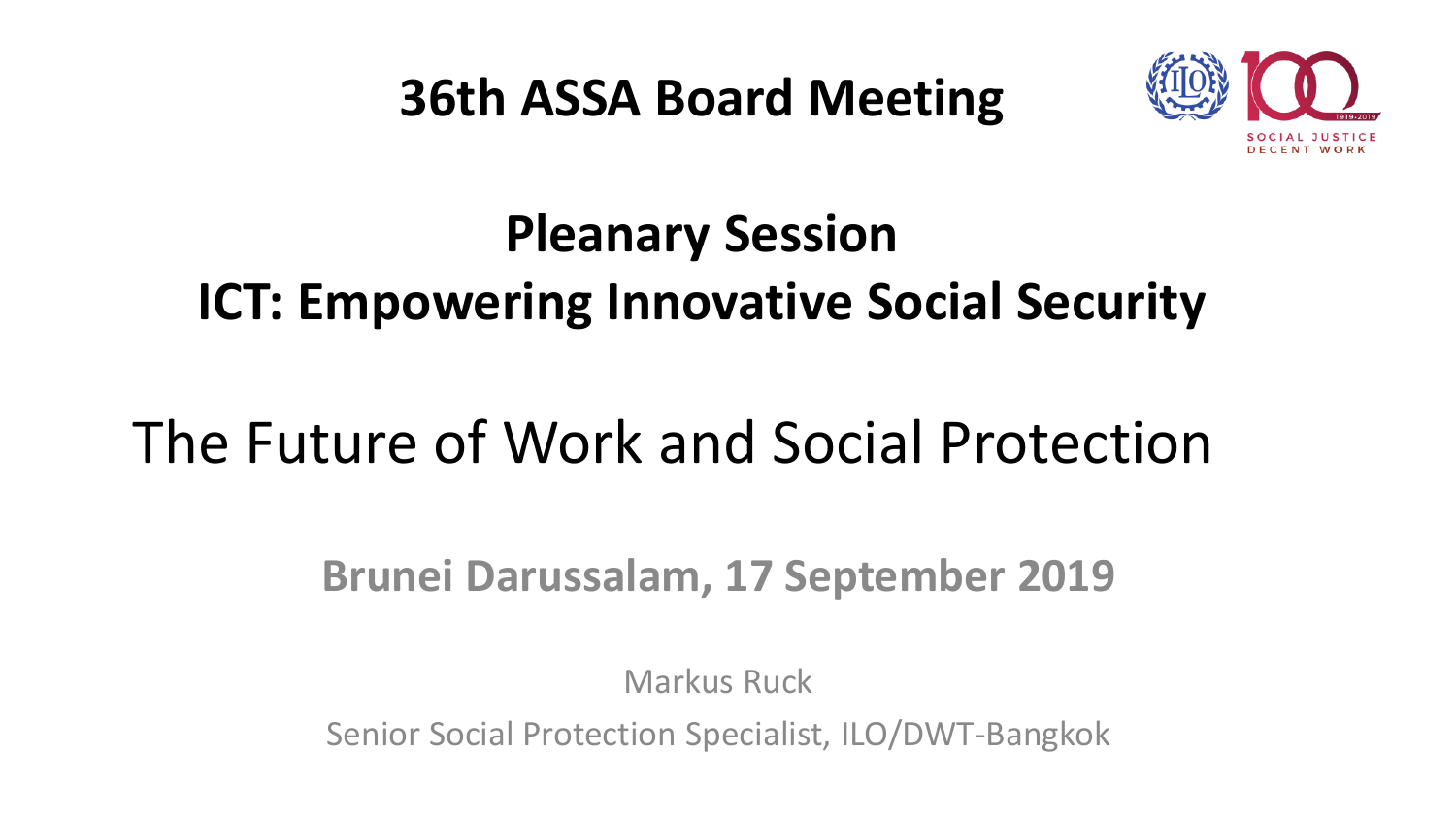**36th ASSA Board Meeting**



### **Pleanary Session ICT: Empowering Innovative Social Security**

## The Future of Work and Social Protection

#### **Brunei Darussalam, 17 September 2019**

Markus Ruck

Senior Social Protection Specialist, ILO/DWT-Bangkok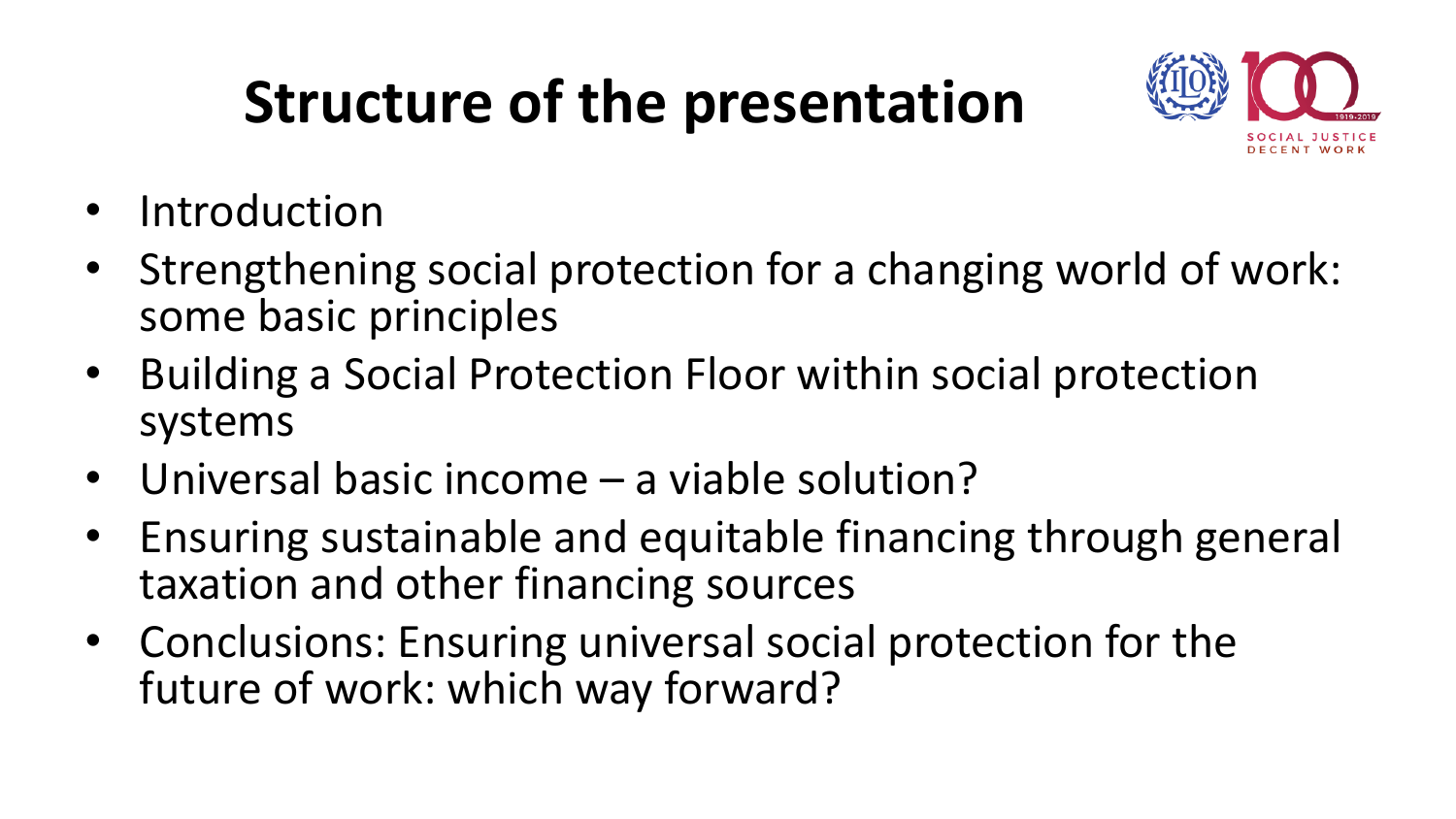## **Structure of the presentation**



- Introduction
- Strengthening social protection for a changing world of work: some basic principles
- Building a Social Protection Floor within social protection systems
- Universal basic income a viable solution?
- Ensuring sustainable and equitable financing through general taxation and other financing sources
- Conclusions: Ensuring universal social protection for the future of work: which way forward?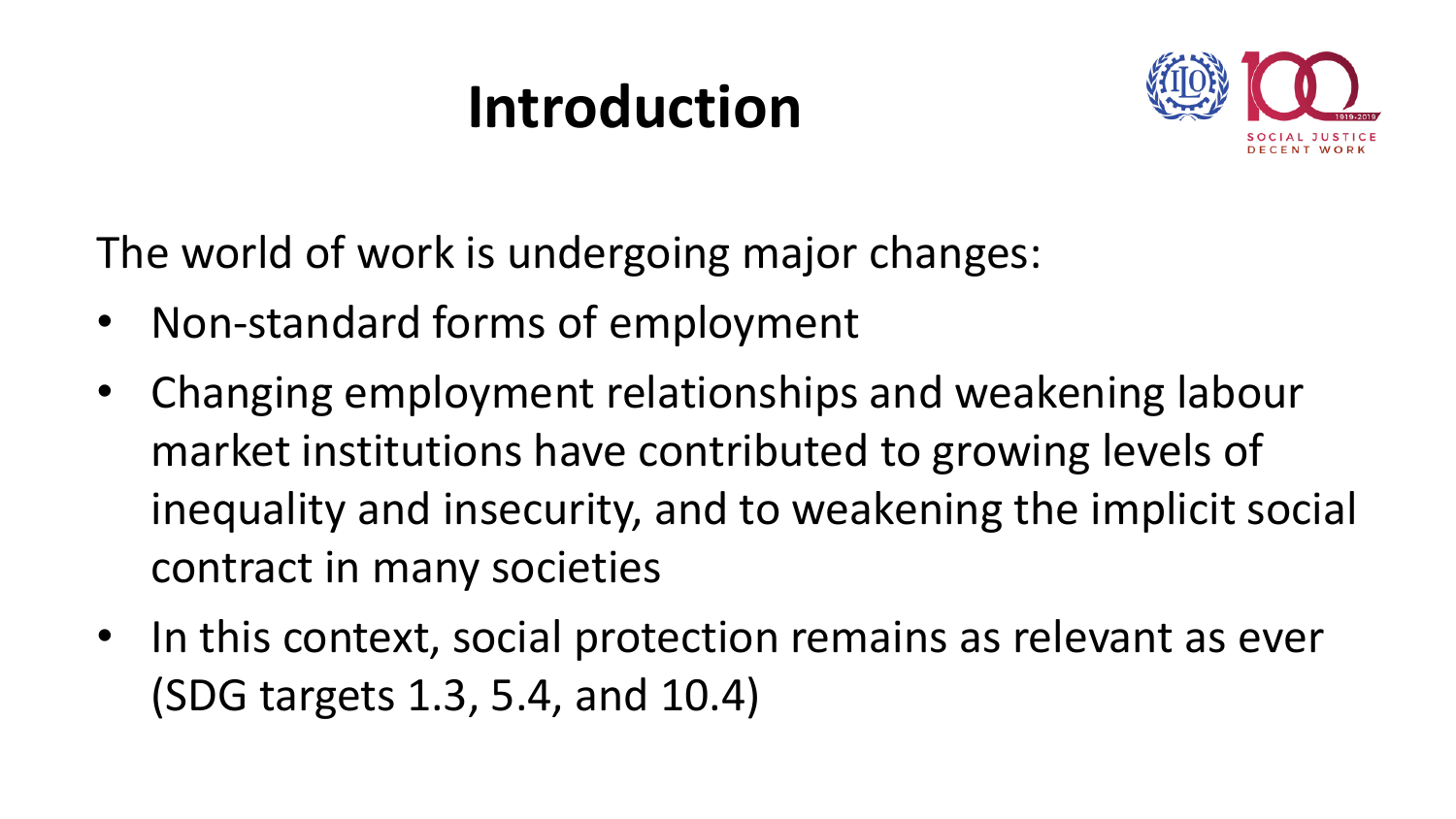## **Introduction**



The world of work is undergoing major changes:

- Non-standard forms of employment
- Changing employment relationships and weakening labour market institutions have contributed to growing levels of inequality and insecurity, and to weakening the implicit social contract in many societies
- In this context, social protection remains as relevant as ever (SDG targets 1.3, 5.4, and 10.4)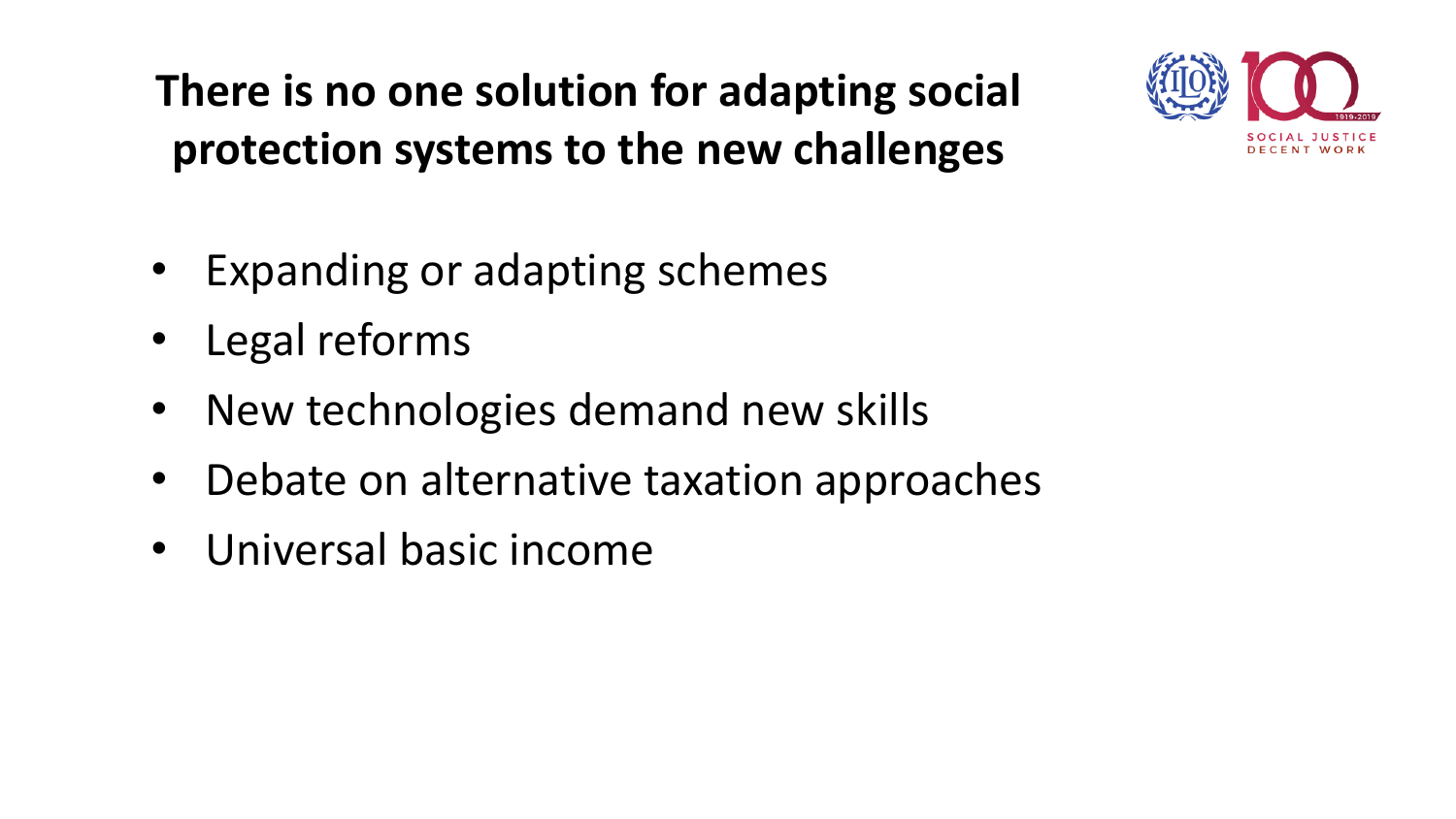### **There is no one solution for adapting social protection systems to the new challenges**



- Expanding or adapting schemes
- Legal reforms
- New technologies demand new skills
- Debate on alternative taxation approaches
- Universal basic income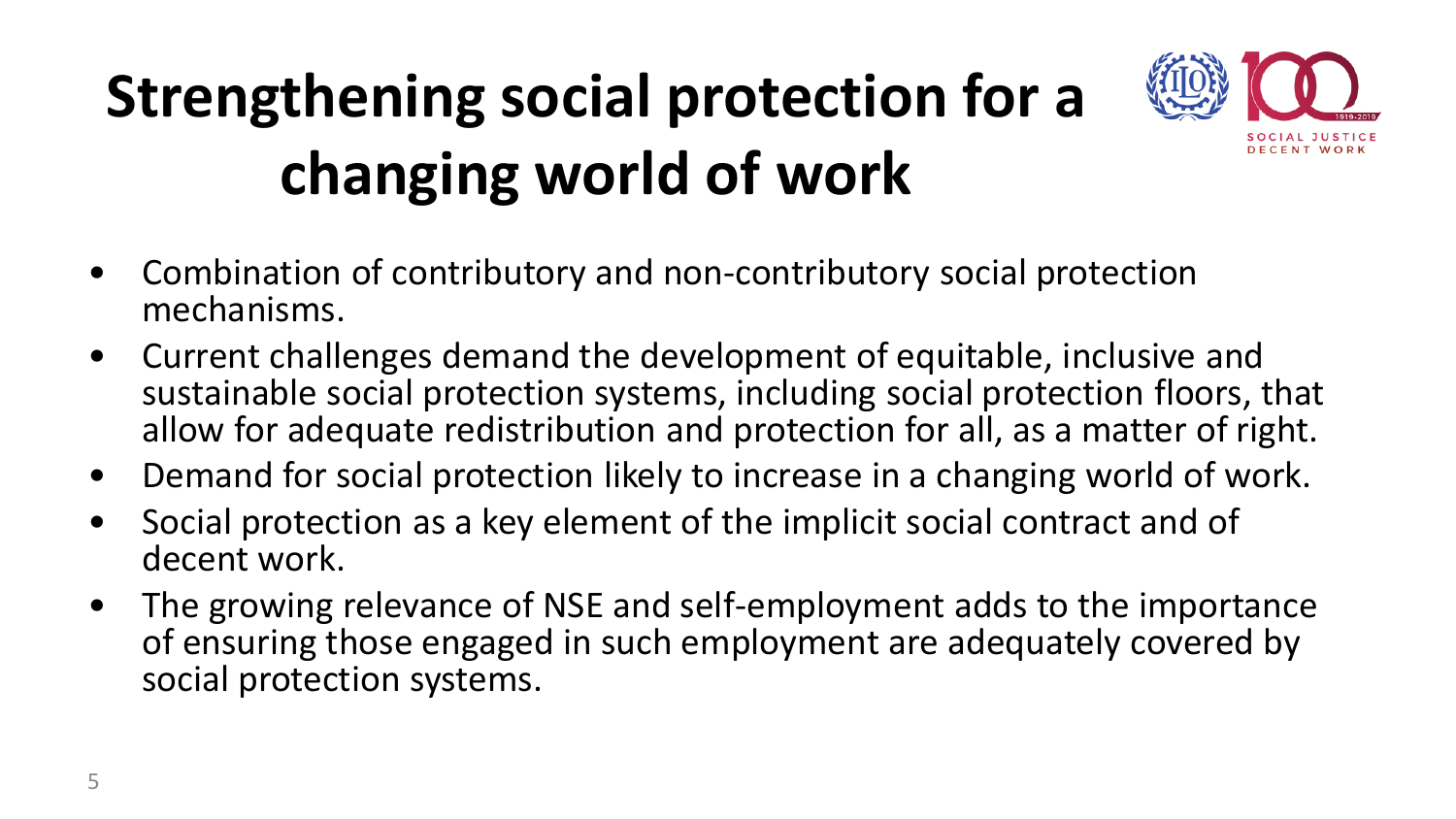# **Strengthening social protection for a changing world of work**



- Combination of contributory and non-contributory social protection mechanisms.
- Current challenges demand the development of equitable, inclusive and sustainable social protection systems, including social protection floors, that allow for adequate redistribution and protection for all, as a matter of right.
- Demand for social protection likely to increase in a changing world of work.
- Social protection as a key element of the implicit social contract and of decent work.
- The growing relevance of NSE and self-employment adds to the importance of ensuring those engaged in such employment are adequately covered by social protection systems.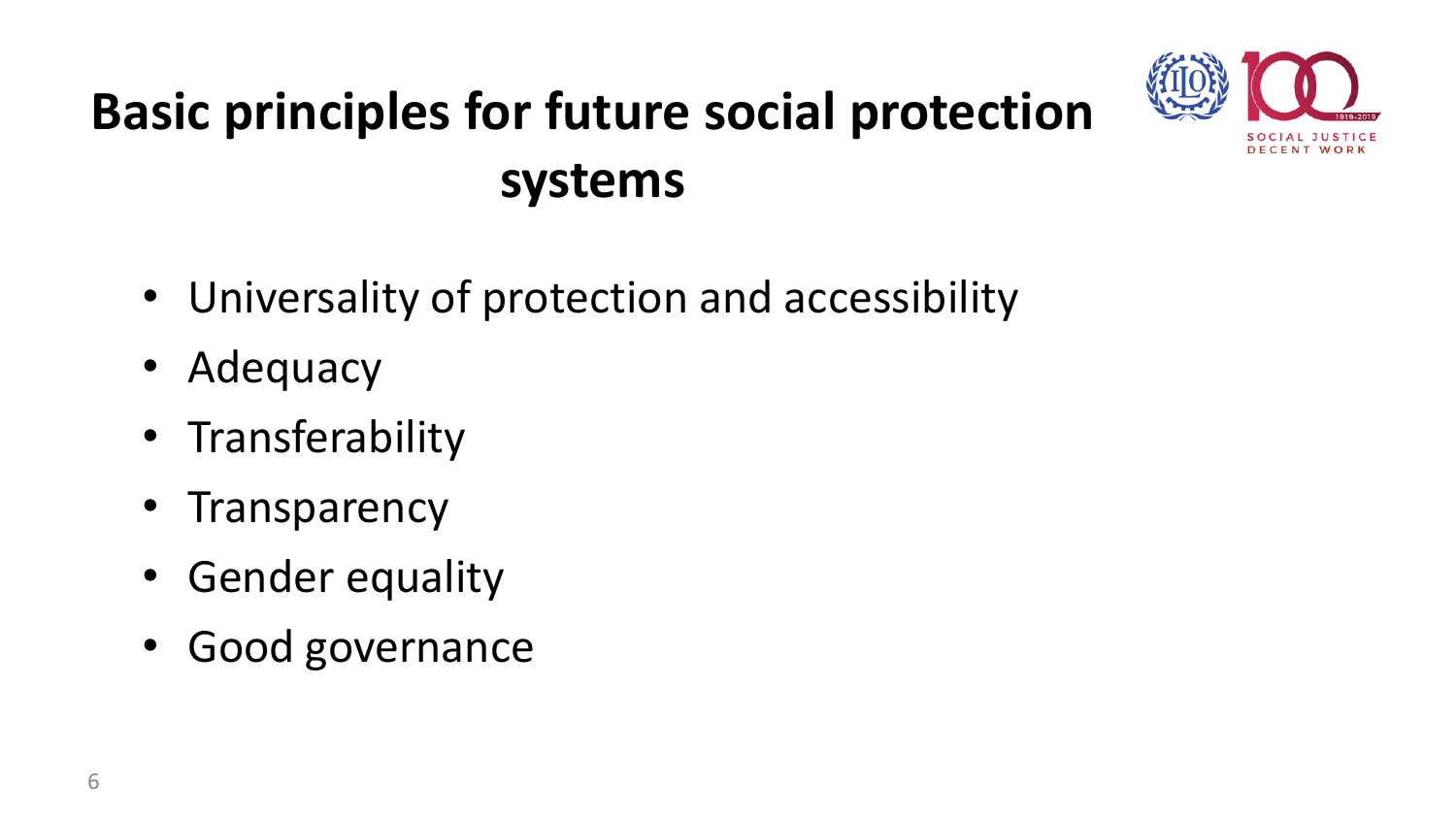## **Basic principles for future social protection systems**



- Universality of protection and accessibility
- Adequacy
- Transferability
- **Transparency**
- Gender equality
- Good governance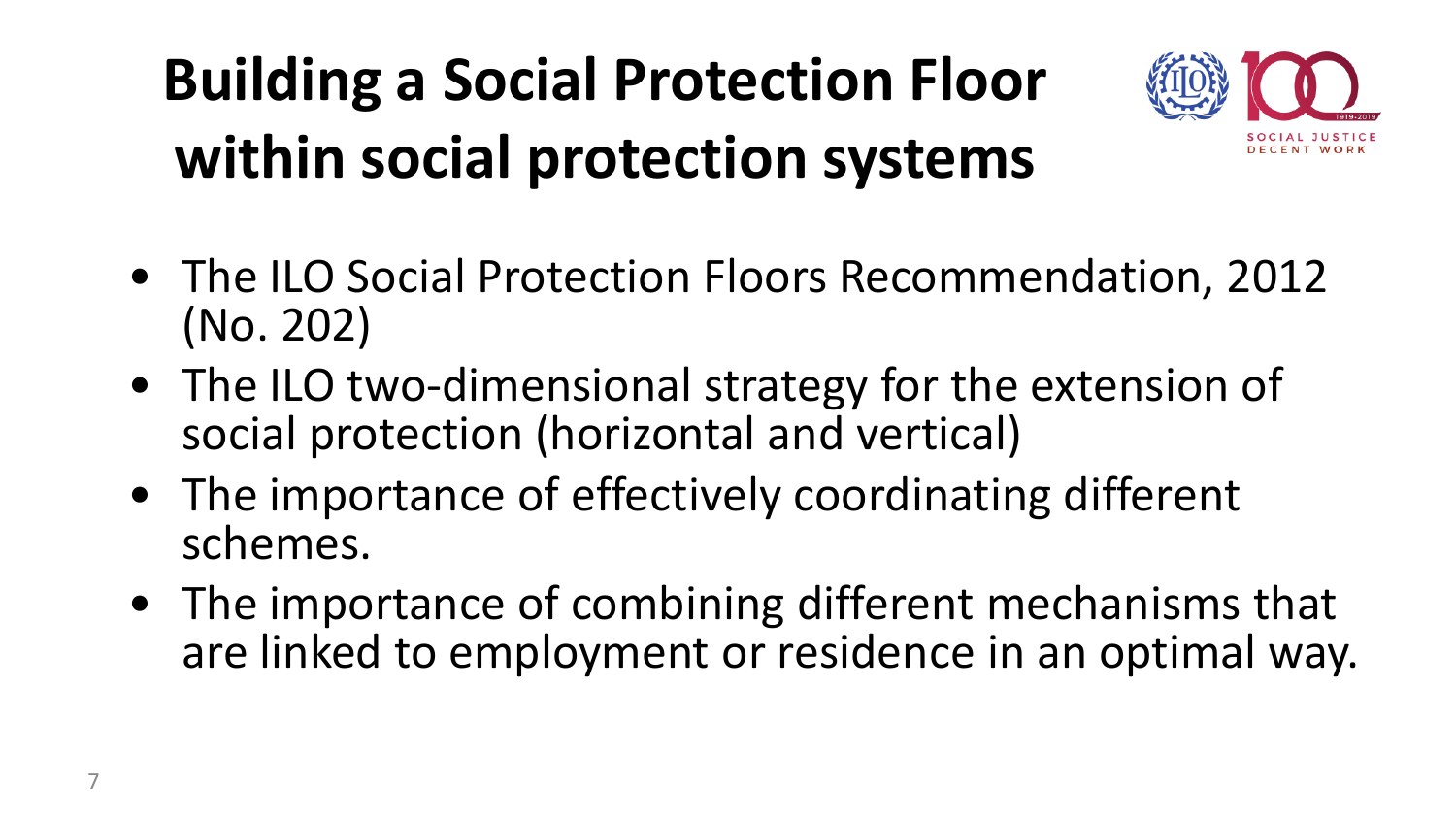# **Building a Social Protection Floor within social protection systems**



- The ILO Social Protection Floors Recommendation, 2012 (No. 202)
- The ILO two-dimensional strategy for the extension of social protection (horizontal and vertical)
- The importance of effectively coordinating different schemes.
- The importance of combining different mechanisms that are linked to employment or residence in an optimal way.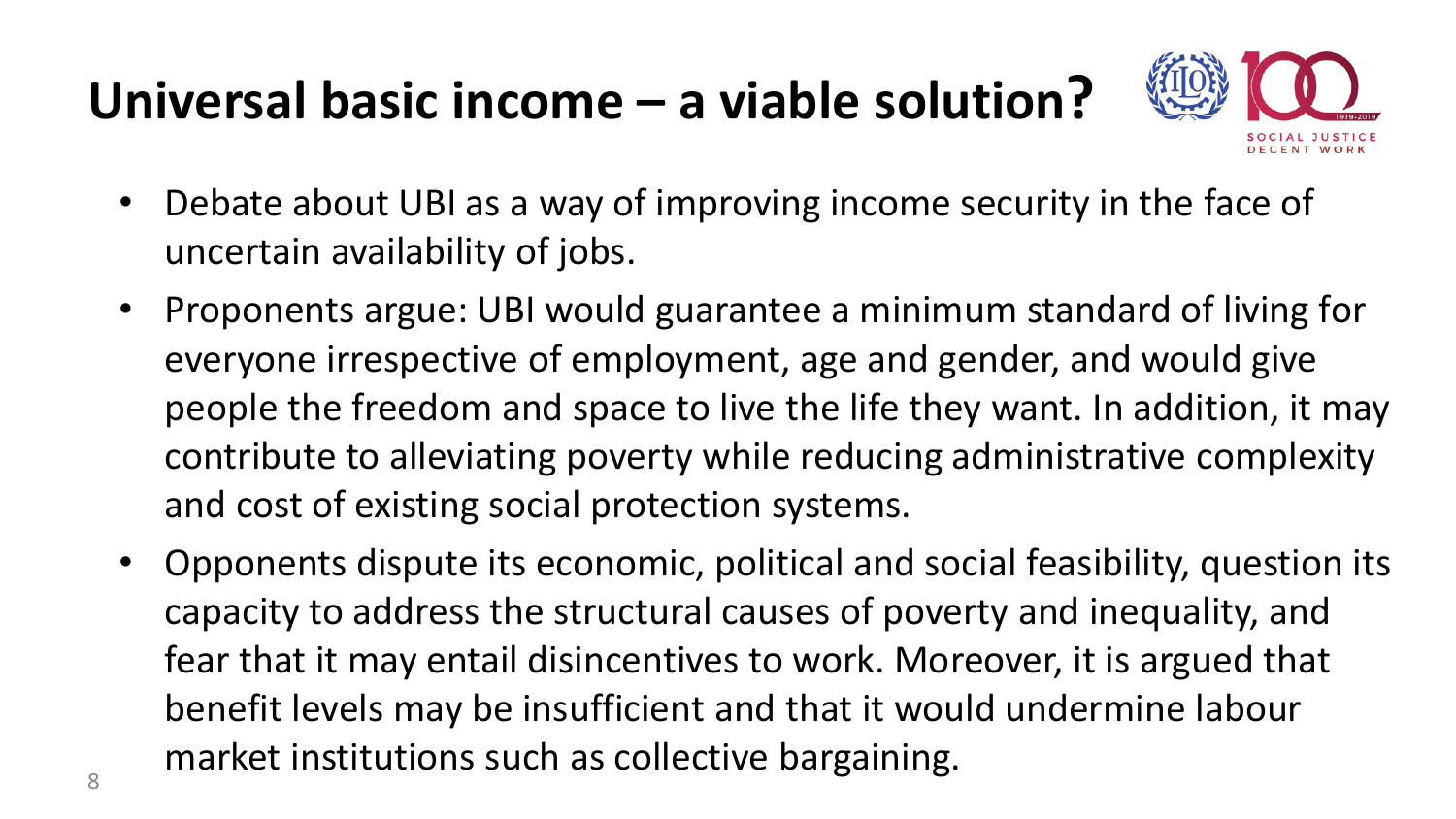## **Universal basic income – a viable solution?**



- Debate about UBI as a way of improving income security in the face of uncertain availability of jobs.
- Proponents argue: UBI would guarantee a minimum standard of living for everyone irrespective of employment, age and gender, and would give people the freedom and space to live the life they want. In addition, it may contribute to alleviating poverty while reducing administrative complexity and cost of existing social protection systems.
- Opponents dispute its economic, political and social feasibility, question its capacity to address the structural causes of poverty and inequality, and fear that it may entail disincentives to work. Moreover, it is argued that benefit levels may be insufficient and that it would undermine labour market institutions such as collective bargaining.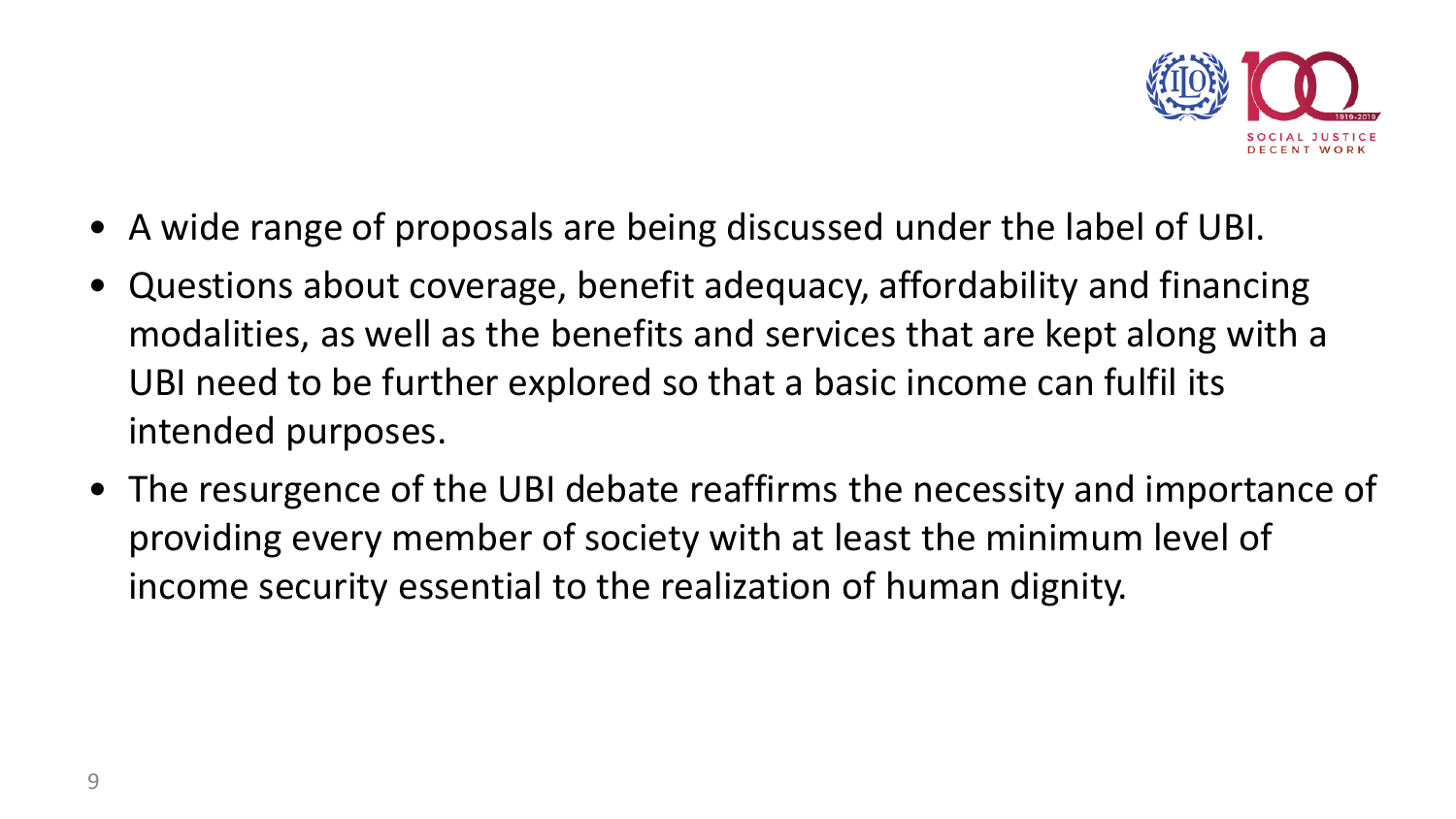

- A wide range of proposals are being discussed under the label of UBI.
- Questions about coverage, benefit adequacy, affordability and financing modalities, as well as the benefits and services that are kept along with a UBI need to be further explored so that a basic income can fulfil its intended purposes.
- The resurgence of the UBI debate reaffirms the necessity and importance of providing every member of society with at least the minimum level of income security essential to the realization of human dignity.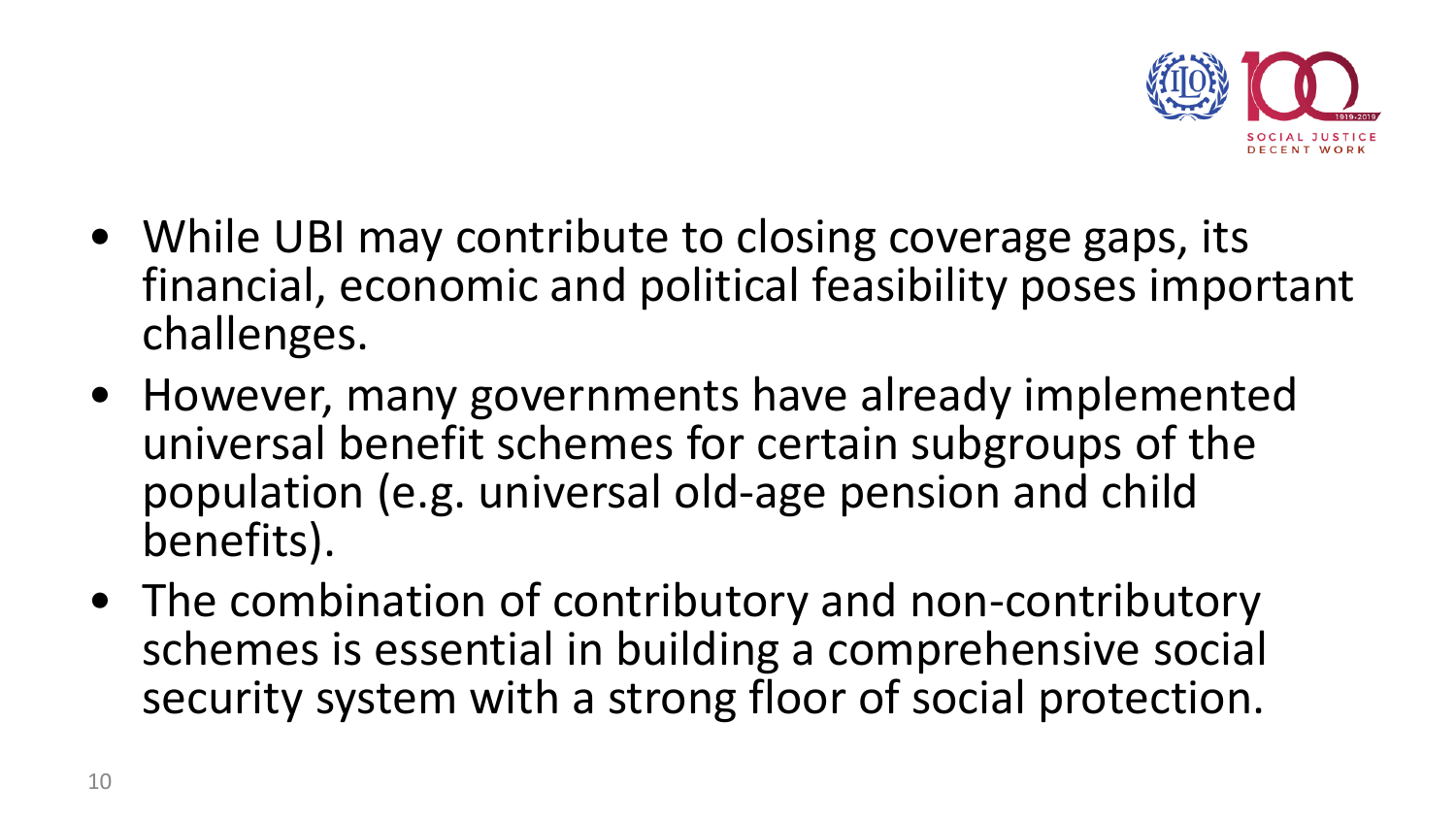

- While UBI may contribute to closing coverage gaps, its financial, economic and political feasibility poses important challenges.
- However, many governments have already implemented universal benefit schemes for certain subgroups of the population (e.g. universal old-age pension and child benefits).
- The combination of contributory and non-contributory schemes is essential in building a comprehensive social security system with a strong floor of social protection.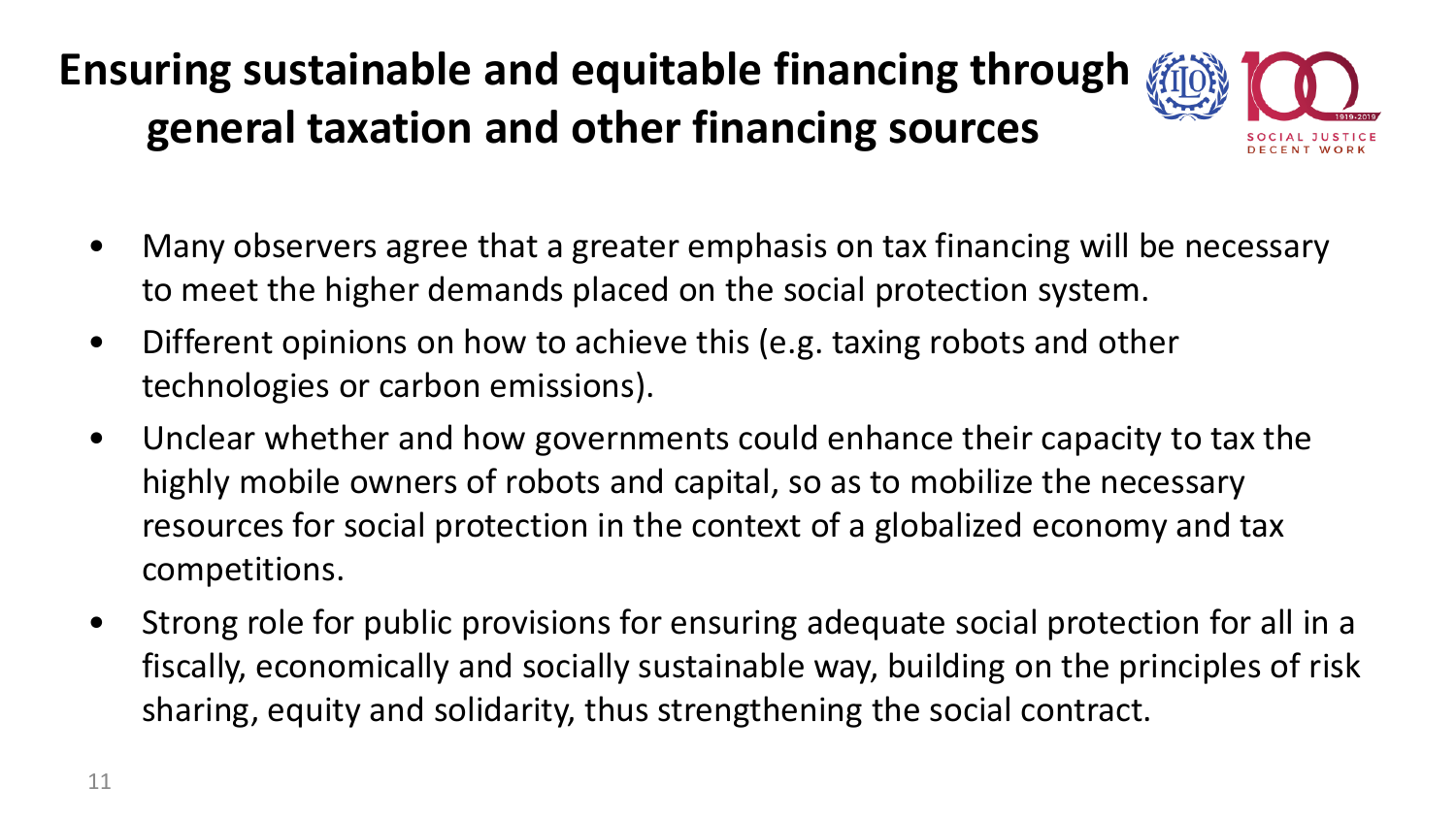### **Ensuring sustainable and equitable financing through general taxation and other financing sources**



- Many observers agree that a greater emphasis on tax financing will be necessary to meet the higher demands placed on the social protection system.
- Different opinions on how to achieve this (e.g. taxing robots and other technologies or carbon emissions).
- Unclear whether and how governments could enhance their capacity to tax the highly mobile owners of robots and capital, so as to mobilize the necessary resources for social protection in the context of a globalized economy and tax competitions.
- Strong role for public provisions for ensuring adequate social protection for all in a fiscally, economically and socially sustainable way, building on the principles of risk sharing, equity and solidarity, thus strengthening the social contract.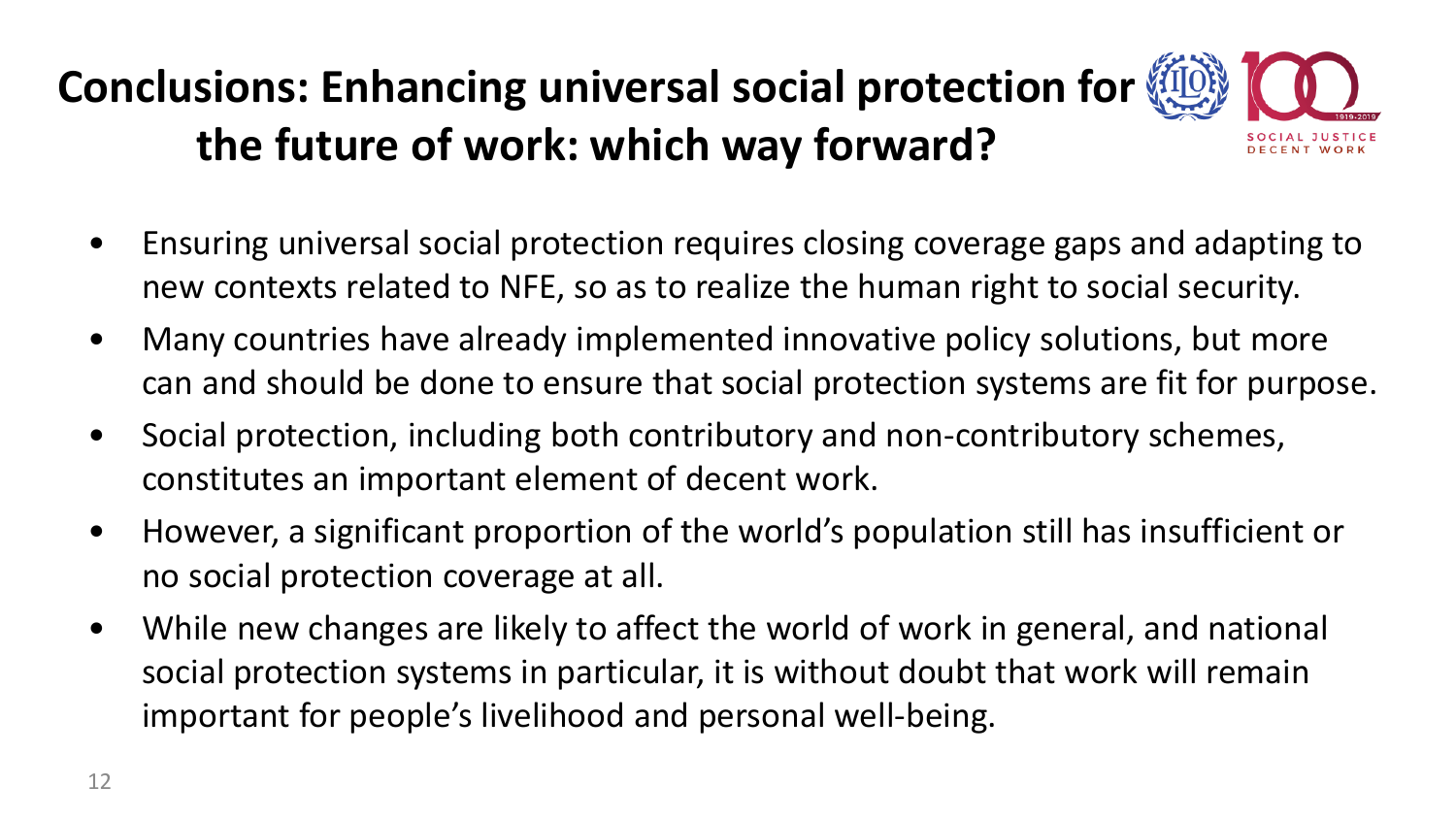### **Conclusions: Enhancing universal social protection for the future of work: which way forward?**

- Ensuring universal social protection requires closing coverage gaps and adapting to new contexts related to NFE, so as to realize the human right to social security.
- Many countries have already implemented innovative policy solutions, but more can and should be done to ensure that social protection systems are fit for purpose.
- Social protection, including both contributory and non-contributory schemes, constitutes an important element of decent work.
- However, a significant proportion of the world's population still has insufficient or no social protection coverage at all.
- While new changes are likely to affect the world of work in general, and national social protection systems in particular, it is without doubt that work will remain important for people's livelihood and personal well-being.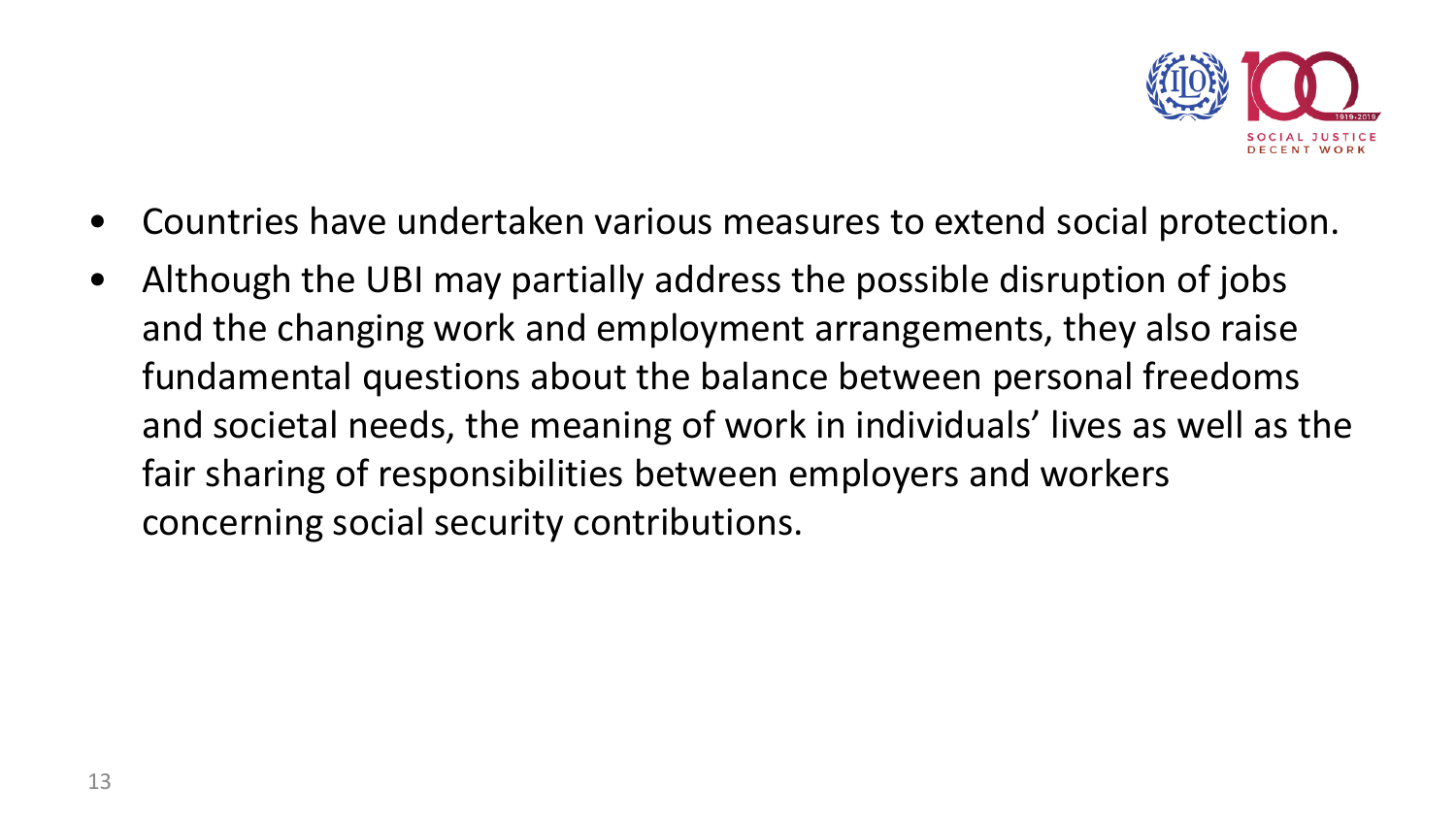

- Countries have undertaken various measures to extend social protection.
- Although the UBI may partially address the possible disruption of jobs and the changing work and employment arrangements, they also raise fundamental questions about the balance between personal freedoms and societal needs, the meaning of work in individuals' lives as well as the fair sharing of responsibilities between employers and workers concerning social security contributions.